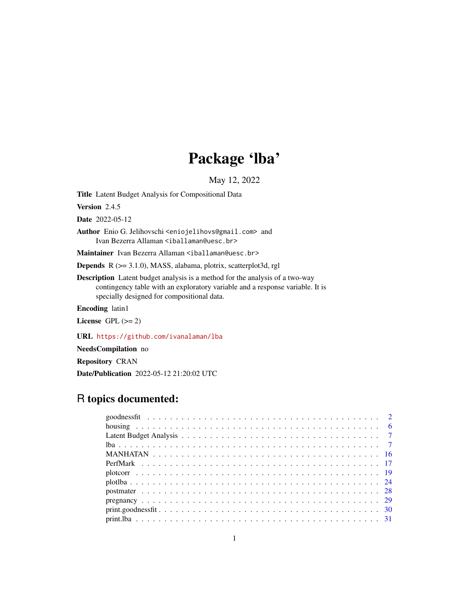# Package 'lba'

May 12, 2022

<span id="page-0-0"></span>Title Latent Budget Analysis for Compositional Data

Version 2.4.5

Date 2022-05-12

Author Enio G. Jelihovschi <eniojelihovs@gmail.com> and Ivan Bezerra Allaman <iballaman@uesc.br>

Maintainer Ivan Bezerra Allaman <iballaman@uesc.br>

Depends R (>= 3.1.0), MASS, alabama, plotrix, scatterplot3d, rgl

Description Latent budget analysis is a method for the analysis of a two-way contingency table with an exploratory variable and a response variable. It is specially designed for compositional data.

Encoding latin1

License GPL  $(>= 2)$ 

URL <https://github.com/ivanalaman/lba>

NeedsCompilation no

Repository CRAN

Date/Publication 2022-05-12 21:20:02 UTC

# R topics documented: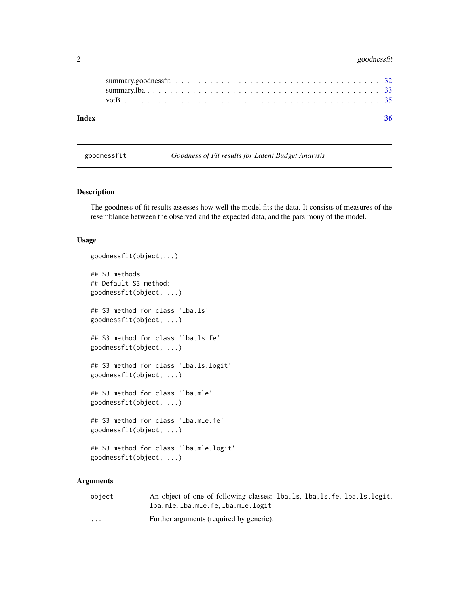# <span id="page-1-0"></span>2 goodnessfit

<span id="page-1-1"></span>goodnessfit *Goodness of Fit results for Latent Budget Analysis*

# Description

The goodness of fit results assesses how well the model fits the data. It consists of measures of the resemblance between the observed and the expected data, and the parsimony of the model.

# Usage

```
goodnessfit(object,...)
## S3 methods
## Default S3 method:
goodnessfit(object, ...)
## S3 method for class 'lba.ls'
goodnessfit(object, ...)
## S3 method for class 'lba.ls.fe'
goodnessfit(object, ...)
## S3 method for class 'lba.ls.logit'
goodnessfit(object, ...)
## S3 method for class 'lba.mle'
goodnessfit(object, ...)
## S3 method for class 'lba.mle.fe'
goodnessfit(object, ...)
## S3 method for class 'lba.mle.logit'
goodnessfit(object, ...)
```
# Arguments

| object   | An object of one of following classes: 1ba.1s, 1ba.1s, fe, 1ba.1s, logit, |  |  |
|----------|---------------------------------------------------------------------------|--|--|
|          | lba.mle.lba.mle.fe.lba.mle.logit                                          |  |  |
| $\cdots$ | Further arguments (required by generic).                                  |  |  |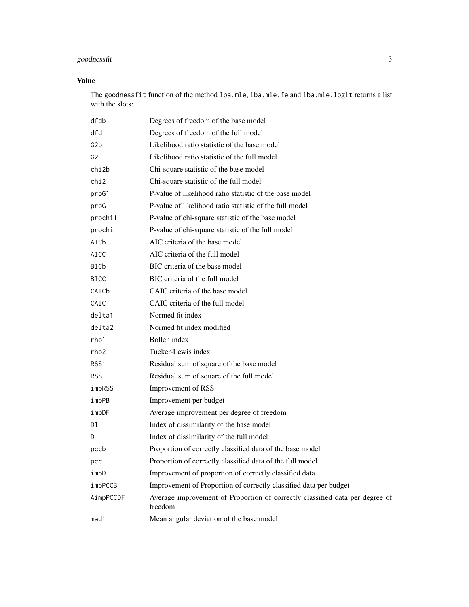# goodnessfit 3

# Value

The goodnessfit function of the method lba.mle, lba.mle.fe and lba.mle.logit returns a list with the slots:

| dfdb             | Degrees of freedom of the base model                                                    |
|------------------|-----------------------------------------------------------------------------------------|
| dfd              | Degrees of freedom of the full model                                                    |
| G <sub>2</sub> b | Likelihood ratio statistic of the base model                                            |
| G2               | Likelihood ratio statistic of the full model                                            |
| chi2b            | Chi-square statistic of the base model                                                  |
| chi2             | Chi-square statistic of the full model                                                  |
| proG1            | P-value of likelihood ratio statistic of the base model                                 |
| proG             | P-value of likelihood ratio statistic of the full model                                 |
| prochi1          | P-value of chi-square statistic of the base model                                       |
| prochi           | P-value of chi-square statistic of the full model                                       |
| AICb             | AIC criteria of the base model                                                          |
| AICC             | AIC criteria of the full model                                                          |
| <b>BICb</b>      | BIC criteria of the base model                                                          |
| <b>BICC</b>      | BIC criteria of the full model                                                          |
| CAICb            | CAIC criteria of the base model                                                         |
| CAIC             | CAIC criteria of the full model                                                         |
| delta1           | Normed fit index                                                                        |
| delta2           | Normed fit index modified                                                               |
| rho1             | Bollen index                                                                            |
| rho2             | Tucker-Lewis index                                                                      |
| RSS1             | Residual sum of square of the base model                                                |
| <b>RSS</b>       | Residual sum of square of the full model                                                |
| impRSS           | Improvement of RSS                                                                      |
| impPB            | Improvement per budget                                                                  |
| impDF            | Average improvement per degree of freedom                                               |
| D1               | Index of dissimilarity of the base model                                                |
| D                | Index of dissimilarity of the full model                                                |
| pccb             | Proportion of correctly classified data of the base model                               |
| рсс              | Proportion of correctly classified data of the full model                               |
| impD             | Improvement of proportion of correctly classified data                                  |
| impPCCB          | Improvement of Proportion of correctly classified data per budget                       |
| AimpPCCDF        | Average improvement of Proportion of correctly classified data per degree of<br>freedom |
| mad1             | Mean angular deviation of the base model                                                |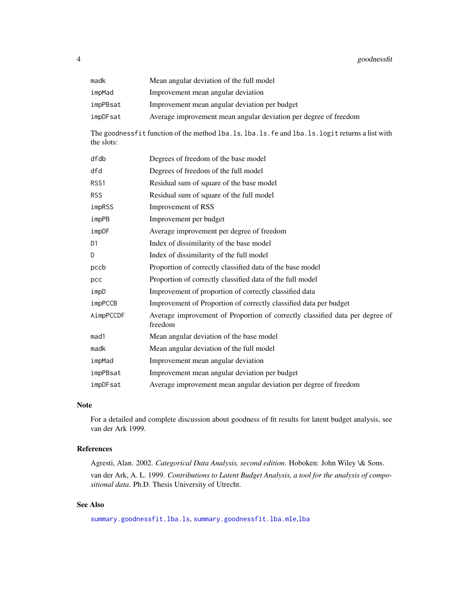<span id="page-3-0"></span>

| madk     | Mean angular deviation of the full model                         |
|----------|------------------------------------------------------------------|
| impMad   | Improvement mean angular deviation                               |
| impPBsat | Improvement mean angular deviation per budget                    |
| impDFsat | Average improvement mean angular deviation per degree of freedom |

The goodnessfit function of the method lba.ls, lba.ls.fe and lba.ls.logit returns a list with the slots:

| dfdb           | Degrees of freedom of the base model                                                    |
|----------------|-----------------------------------------------------------------------------------------|
| dfd            | Degrees of freedom of the full model                                                    |
| RSS1           | Residual sum of square of the base model                                                |
| <b>RSS</b>     | Residual sum of square of the full model                                                |
| impRSS         | Improvement of RSS                                                                      |
| impPB          | Improvement per budget                                                                  |
| impDF          | Average improvement per degree of freedom                                               |
| D <sub>1</sub> | Index of dissimilarity of the base model                                                |
| D              | Index of dissimilarity of the full model                                                |
| pccb           | Proportion of correctly classified data of the base model                               |
| pcc            | Proportion of correctly classified data of the full model                               |
| impD           | Improvement of proportion of correctly classified data                                  |
| impPCCB        | Improvement of Proportion of correctly classified data per budget                       |
| AimpPCCDF      | Average improvement of Proportion of correctly classified data per degree of<br>freedom |
| mad1           | Mean angular deviation of the base model                                                |
| madk           | Mean angular deviation of the full model                                                |
| impMad         | Improvement mean angular deviation                                                      |
| impPBsat       | Improvement mean angular deviation per budget                                           |
| impDFsat       | Average improvement mean angular deviation per degree of freedom                        |

# Note

For a detailed and complete discussion about goodness of fit results for latent budget analysis, see van der Ark 1999.

# References

Agresti, Alan. 2002. *Categorical Data Analysis, second edition*. Hoboken: John Wiley \& Sons. van der Ark, A. L. 1999. *Contributions to Latent Budget Analysis, a tool for the analysis of compositional data*. Ph.D. Thesis University of Utrecht.

# See Also

[summary.goodnessfit.lba.ls](#page-31-1), [summary.goodnessfit.lba.mle](#page-31-1),[lba](#page-6-1)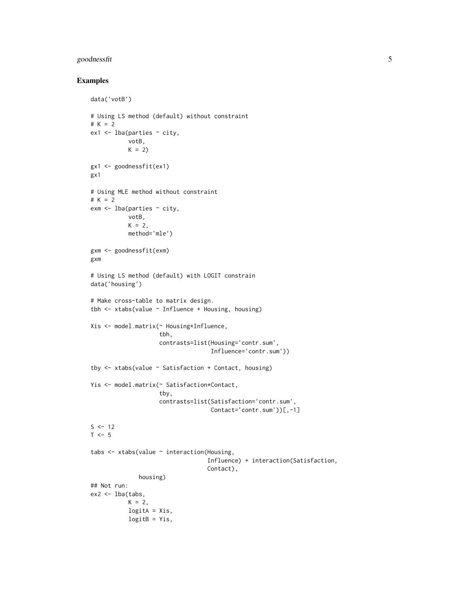# goodnessfit 5

# Examples

```
data('votB')
# Using LS method (default) without constraint
# K = 2
ex1 < - lba(parties ~ ~city,
           votB,
           K = 2gx1 <- goodnessfit(ex1)
gx1
# Using MLE method without constraint
# K = 2
exm \leq lba(parties \sim city,
           votB,
           K = 2,
           method='mle')
gxm <- goodnessfit(exm)
gxm
# Using LS method (default) with LOGIT constrain
data('housing')
# Make cross-table to matrix design.
tbh \le xtabs(value \sim Influence + Housing, housing)
Xis <- model.matrix(~ Housing*Influence,
                    tbh,
                    contrasts=list(Housing='contr.sum',
                                    Influence='contr.sum'))
tby \le xtabs(value \sim Satisfaction + Contact, housing)
Yis <- model.matrix(~ Satisfaction*Contact,
                    tby,
                    contrasts=list(Satisfaction='contr.sum',
                                   Contact='contr.sum'))[,-1]
S < -12T < -5tabs <- xtabs(value ~ interaction(Housing,
                                   Influence) + interaction(Satisfaction,
                                   Contact),
              housing)
## Not run:
ex2 < - lba(tabs,
           K = 2,logitA = Xis,
           logitB = Yis,
```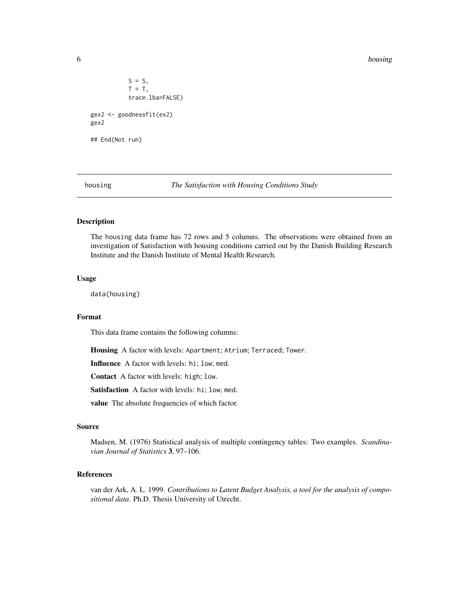6 housing the contract of the contract of the contract of the contract of the contract of the contract of the contract of the contract of the contract of the contract of the contract of the contract of the contract of the

```
S = S,
           T = T,
           trace.lba=FALSE)
gex2 <- goodnessfit(ex2)
gex2
## End(Not run)
```
housing *The Satisfaction with Housing Conditions Study*

# Description

The housing data frame has 72 rows and 5 columns. The observations were obtained from an investigation of Satisfaction with housing conditions carried out by the Danish Building Research Institute and the Danish Institute of Mental Health Research.

# Usage

data(housing)

#### Format

This data frame contains the following columns:

Housing A factor with levels: Apartment; Atrium; Terraced; Tower.

Influence A factor with levels: hi; low; med.

Contact A factor with levels: high; low.

Satisfaction A factor with levels: hi; low; med.

value The absolute frequencies of which factor.

# Source

Madsen, M. (1976) Statistical analysis of multiple contingency tables: Two examples. *Scandinavian Journal of Statistics* 3, 97–106.

# References

van der Ark, A. L. 1999. *Contributions to Latent Budget Analysis, a tool for the analysis of compositional data*. Ph.D. Thesis University of Utrecht.

<span id="page-5-0"></span>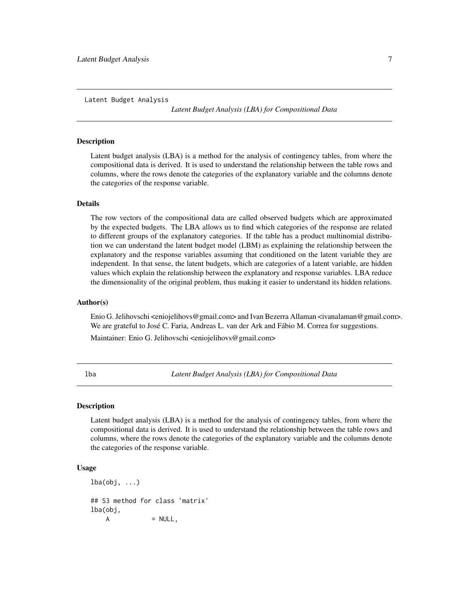<span id="page-6-0"></span>Latent Budget Analysis

*Latent Budget Analysis (LBA) for Compositional Data*

#### **Description**

Latent budget analysis (LBA) is a method for the analysis of contingency tables, from where the compositional data is derived. It is used to understand the relationship between the table rows and columns, where the rows denote the categories of the explanatory variable and the columns denote the categories of the response variable.

# Details

The row vectors of the compositional data are called observed budgets which are approximated by the expected budgets. The LBA allows us to find which categories of the response are related to different groups of the explanatory categories. If the table has a product multinomial distribution we can understand the latent budget model (LBM) as explaining the relationship between the explanatory and the response variables assuming that conditioned on the latent variable they are independent. In that sense, the latent budgets, which are categories of a latent variable, are hidden values which explain the relationship between the explanatory and response variables. LBA reduce the dimensionality of the original problem, thus making it easier to understand its hidden relations.

# Author(s)

Enio G. Jelihovschi <eniojelihovs@gmail.com> and Ivan Bezerra Allaman <ivanalaman@gmail.com>. We are grateful to José C. Faria, Andreas L. van der Ark and Fábio M. Correa for suggestions.

Maintainer: Enio G. Jelihovschi <eniojelihovs@gmail.com>

<span id="page-6-1"></span>lba *Latent Budget Analysis (LBA) for Compositional Data*

#### Description

Latent budget analysis (LBA) is a method for the analysis of contingency tables, from where the compositional data is derived. It is used to understand the relationship between the table rows and columns, where the rows denote the categories of the explanatory variable and the columns denote the categories of the response variable.

# Usage

 $lba(obj, \ldots)$ ## S3 method for class 'matrix' lba(obj,  $A = NULL,$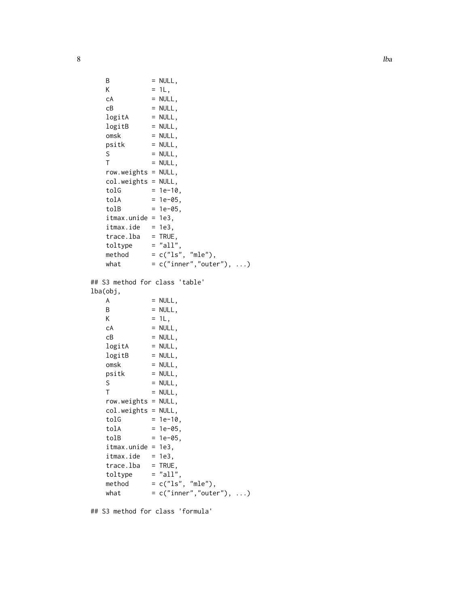```
B = NULL,K = 1L,
   cA = NULL,CB = NULL,logitA = NULL,
   logitB = NULL,
   \cos k = \text{NULL},
  psitk = NULL,S = NULL,T = NULL,row.weights = NULL,
  col.weights = NULL,
   tolG = 1e-10,tolA = 1e-05,
   tolB = 1e-05,
   itmax.unide = 1e3,
   itmax.ide = 1e3,trace.1ba = TRUE,toltype = "all",
  method = c("ls", "mle"),what = c("inner", "outer"), ...)## S3 method for class 'table'
lba(obj,
  A = NULL,B = NULL,K = 1L,
   cA = NULL,CB = NULL,logitA = NULL,
   logitB = NULL,
  omsk = NULL,psitk = NULL,S = NULL,<br>
T = NULL,= NULL,
   row.weights = NULL,
  col.weights = NULL,
   tolG = 1e-10,tolA = 1e-05,
   tolB = 1e-05,
   itmax.unide = 1e3,
   itmax.ide = 1e3,trace.1ba = TRUE,toltype = "all",
   method = c("ls", "mle"),what = c("inner", "outer"), ...)
```
## S3 method for class 'formula'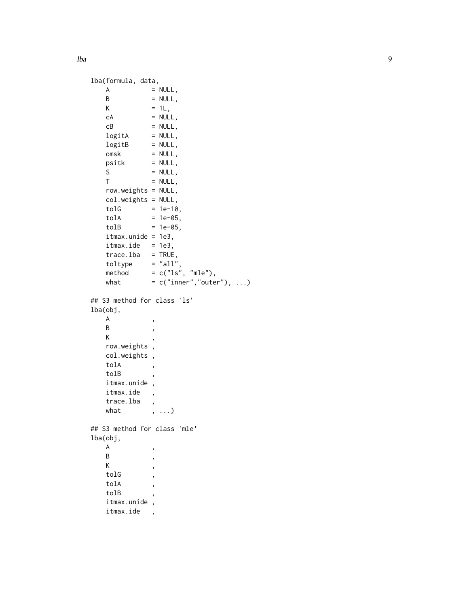lba

```
lba(formula, data,
   A = NULL,<br>B = NULL,
                = NULL,
   K = 1L,
   cA = NULL,<br>cB = NULL,
                = NULL,
   logitA = NULL,
   logitB = NULL,
   omsk = NULL,psitk = NULL,S = NULL,T = NULL,row.weights = NULL,
   col.weights = NULL,
    tolG = 1e-10,tolA = 1e-05,
    tolB = 1e-05,
    itmax.unide = 1e3,
   itmax.ide = 1e3,
    trace.1ba = TRUE,toltype = "all",
    method = c("ls", "mle"),what = c("inner", "outer"), ...)## S3 method for class 'ls'
lba(obj,
   \begin{matrix} \mathsf{A} & \mathsf{A} \end{matrix} \qquad \qquad \mathsf{A}B ,
   Krow.weights ,
   col.weights ,
   tolA
   tolB ,
    itmax.unide ,
    itmax.ide ,
    trace.lba ,
   what , ...)
## S3 method for class 'mle'
lba(obj,
   \begin{matrix} \mathsf{A} & \mathsf{A} \end{matrix} \qquad \qquad \mathsf{A}B ,
    K ,
   \ensuremath{\text{tol}}\xspacetolA
    tolB ,
    itmax.unide ,
    itmax.ide ,
```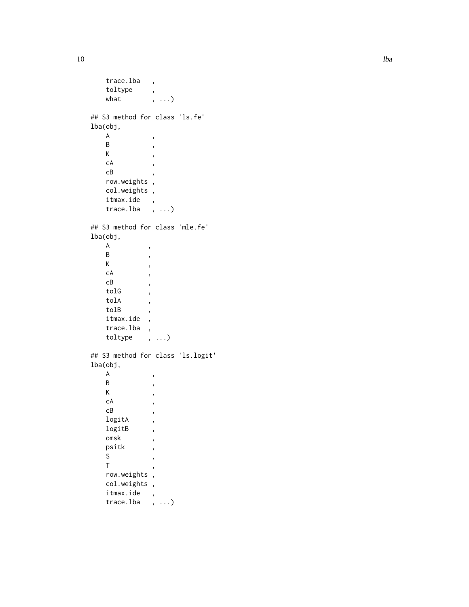```
trace.lba ,
    toltype ,
    what , ...)
## S3 method for class 'ls.fe'
lba(obj,
    \begin{matrix} \mathsf{A} & \mathsf{A} \end{matrix} \qquad \qquad \mathsf{A}B ,
    K,
    cA,
    {\tt cB}row.weights ,
    col.weights ,
    itmax.ide ,
    trace.lba , ...)
## S3 method for class 'mle.fe'
lba(obj,
    \begin{matrix} \mathsf{A} & \mathsf{A} \end{matrix}B ,
    K,
    cA ,
    cB ,
    tolG ,
    tolA ,
    tolB ,
    itmax.ide ,
    trace.lba ,
    toltype , ...)
## S3 method for class 'ls.logit'
lba(obj,
    \begin{matrix} \mathsf{A} & \mathsf{A} \end{matrix} \qquad \qquad \mathsf{A}B ,
    \mathsf{K}cA ,
    cB ,
    logitA
    logitB ,
    omskpsitk ,
    S ,
    Trow.weights ,
    col.weights ,
    itmax.ide ,
    trace.lba , ...)
```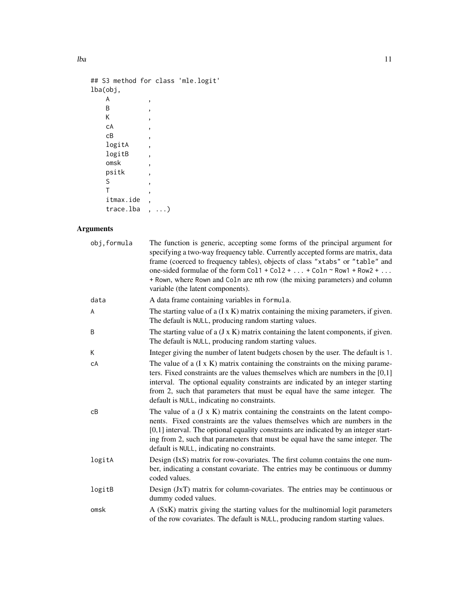```
## S3 method for class 'mle.logit'
lba(obj,
    \mathsf A ,
    B,
   B,<br>K,
   cA,
   cB ,
   logitA ,
   logitB,
   omsk ,
   psitk ,
   \begin{array}{ccc} S & & \quad , \\ T & & \quad , \end{array}T,
    itmax.ide ,
   trace.lba , ...)
```
# Arguments

| obj, formula | The function is generic, accepting some forms of the principal argument for<br>specifying a two-way frequency table. Currently accepted forms are matrix, data<br>frame (coerced to frequency tables), objects of class "xtabs" or "table" and<br>one-sided formulae of the form $Col1 + Col2 +  + Coln \sim Row1 + Row2 + $<br>+ Rown, where Rown and Coln are nth row (the mixing parameters) and column<br>variable (the latent components). |
|--------------|-------------------------------------------------------------------------------------------------------------------------------------------------------------------------------------------------------------------------------------------------------------------------------------------------------------------------------------------------------------------------------------------------------------------------------------------------|
| data         | A data frame containing variables in formula.                                                                                                                                                                                                                                                                                                                                                                                                   |
| A            | The starting value of a $(I \times K)$ matrix containing the mixing parameters, if given.<br>The default is NULL, producing random starting values.                                                                                                                                                                                                                                                                                             |
| B            | The starting value of $a$ ( $J \times K$ ) matrix containing the latent components, if given.<br>The default is NULL, producing random starting values.                                                                                                                                                                                                                                                                                         |
| К            | Integer giving the number of latent budgets chosen by the user. The default is 1.                                                                                                                                                                                                                                                                                                                                                               |
| сA           | The value of a $(I \times K)$ matrix containing the constraints on the mixing parame-<br>ters. Fixed constraints are the values themselves which are numbers in the $[0,1]$<br>interval. The optional equality constraints are indicated by an integer starting<br>from 2, such that parameters that must be equal have the same integer. The<br>default is NULL, indicating no constraints.                                                    |
| cВ           | The value of a $(J \times K)$ matrix containing the constraints on the latent compo-<br>nents. Fixed constraints are the values themselves which are numbers in the<br>[0,1] interval. The optional equality constraints are indicated by an integer start-<br>ing from 2, such that parameters that must be equal have the same integer. The<br>default is NULL, indicating no constraints.                                                    |
| logitA       | Design (IxS) matrix for row-covariates. The first column contains the one num-<br>ber, indicating a constant covariate. The entries may be continuous or dummy<br>coded values.                                                                                                                                                                                                                                                                 |
| logitB       | Design (JxT) matrix for column-covariates. The entries may be continuous or<br>dummy coded values.                                                                                                                                                                                                                                                                                                                                              |
| omsk         | A (SxK) matrix giving the starting values for the multinomial logit parameters<br>of the row covariates. The default is NULL, producing random starting values.                                                                                                                                                                                                                                                                                 |

lba chann ann an t-India. Tha ann an t-India ann an t-India ann an t-India ann an 11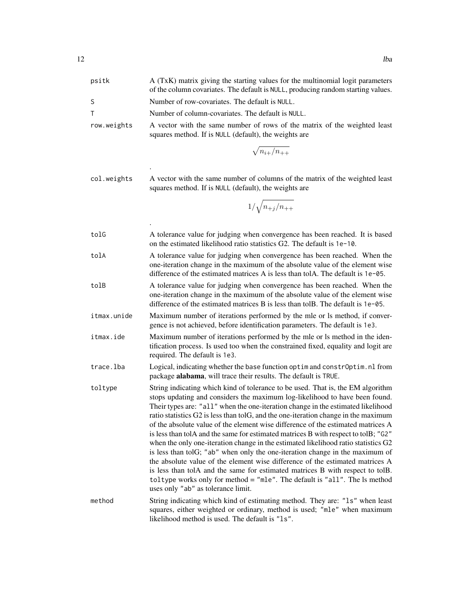| psitk       | A (TxK) matrix giving the starting values for the multinomial logit parameters<br>of the column covariates. The default is NULL, producing random starting values.                                                                                                                                                                                                                                                                                                                                                                                                                                                                                                                                                                                                                                                                                                                                                                                                               |
|-------------|----------------------------------------------------------------------------------------------------------------------------------------------------------------------------------------------------------------------------------------------------------------------------------------------------------------------------------------------------------------------------------------------------------------------------------------------------------------------------------------------------------------------------------------------------------------------------------------------------------------------------------------------------------------------------------------------------------------------------------------------------------------------------------------------------------------------------------------------------------------------------------------------------------------------------------------------------------------------------------|
| S           | Number of row-covariates. The default is NULL.                                                                                                                                                                                                                                                                                                                                                                                                                                                                                                                                                                                                                                                                                                                                                                                                                                                                                                                                   |
| т           | Number of column-covariates. The default is NULL.                                                                                                                                                                                                                                                                                                                                                                                                                                                                                                                                                                                                                                                                                                                                                                                                                                                                                                                                |
| row.weights | A vector with the same number of rows of the matrix of the weighted least<br>squares method. If is NULL (default), the weights are                                                                                                                                                                                                                                                                                                                                                                                                                                                                                                                                                                                                                                                                                                                                                                                                                                               |
|             | $\sqrt{n_{i+}/n_{++}}$                                                                                                                                                                                                                                                                                                                                                                                                                                                                                                                                                                                                                                                                                                                                                                                                                                                                                                                                                           |
| col.weights | A vector with the same number of columns of the matrix of the weighted least<br>squares method. If is NULL (default), the weights are                                                                                                                                                                                                                                                                                                                                                                                                                                                                                                                                                                                                                                                                                                                                                                                                                                            |
|             | $1/\sqrt{n_{+j}/n_{++}}$                                                                                                                                                                                                                                                                                                                                                                                                                                                                                                                                                                                                                                                                                                                                                                                                                                                                                                                                                         |
| tolG        | A tolerance value for judging when convergence has been reached. It is based<br>on the estimated likelihood ratio statistics G2. The default is 1e-10.                                                                                                                                                                                                                                                                                                                                                                                                                                                                                                                                                                                                                                                                                                                                                                                                                           |
| tolA        | A tolerance value for judging when convergence has been reached. When the<br>one-iteration change in the maximum of the absolute value of the element wise<br>difference of the estimated matrices A is less than tolA. The default is $1e$ –05.                                                                                                                                                                                                                                                                                                                                                                                                                                                                                                                                                                                                                                                                                                                                 |
| tolB        | A tolerance value for judging when convergence has been reached. When the<br>one-iteration change in the maximum of the absolute value of the element wise<br>difference of the estimated matrices B is less than tolB. The default is $1e$ –05.                                                                                                                                                                                                                                                                                                                                                                                                                                                                                                                                                                                                                                                                                                                                 |
| itmax.unide | Maximum number of iterations performed by the mle or ls method, if conver-<br>gence is not achieved, before identification parameters. The default is 1e3.                                                                                                                                                                                                                                                                                                                                                                                                                                                                                                                                                                                                                                                                                                                                                                                                                       |
| itmax.ide   | Maximum number of iterations performed by the mle or ls method in the iden-<br>tification process. Is used too when the constrained fixed, equality and logit are<br>required. The default is 1e3.                                                                                                                                                                                                                                                                                                                                                                                                                                                                                                                                                                                                                                                                                                                                                                               |
| trace.lba   | Logical, indicating whether the base function optim and constrOptim.nl from<br>package alabama, will trace their results. The default is TRUE.                                                                                                                                                                                                                                                                                                                                                                                                                                                                                                                                                                                                                                                                                                                                                                                                                                   |
| toltype     | String indicating which kind of tolerance to be used. That is, the EM algorithm<br>stops updating and considers the maximum log-likelihood to have been found.<br>Their types are: "all" when the one-iteration change in the estimated likelihood<br>ratio statistics G2 is less than tolG, and the one-iteration change in the maximum<br>of the absolute value of the element wise difference of the estimated matrices A<br>is less than tolA and the same for estimated matrices B with respect to tolB; "G2"<br>when the only one-iteration change in the estimated likelihood ratio statistics G2<br>is less than tolG; "ab" when only the one-iteration change in the maximum of<br>the absolute value of the element wise difference of the estimated matrices A<br>is less than tolA and the same for estimated matrices B with respect to tolB.<br>toltype works only for method = "mle". The default is "all". The $ls$ method<br>uses only "ab" as tolerance limit. |
| method      | String indicating which kind of estimating method. They are: "1s" when least<br>squares, either weighted or ordinary, method is used; "mle" when maximum<br>likelihood method is used. The default is "1s".                                                                                                                                                                                                                                                                                                                                                                                                                                                                                                                                                                                                                                                                                                                                                                      |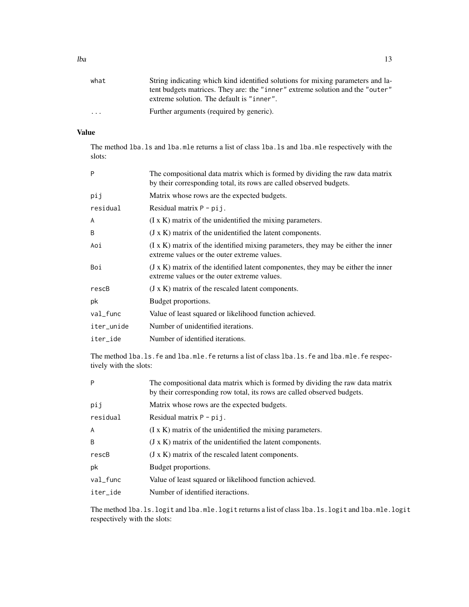| . | Further arguments (required by generic). |  |
|---|------------------------------------------|--|

# Value

The method lba.ls and lba.mle returns a list of class lba.ls and lba.mle respectively with the slots:

| P          | The compositional data matrix which is formed by dividing the raw data matrix<br>by their corresponding total, its rows are called observed budgets. |
|------------|------------------------------------------------------------------------------------------------------------------------------------------------------|
| pij        | Matrix whose rows are the expected budgets.                                                                                                          |
| residual   | Residual matrix $P - \pi j$ .                                                                                                                        |
| A          | $(I \times K)$ matrix of the unidentified the mixing parameters.                                                                                     |
| B          | $(J \times K)$ matrix of the unidentified the latent components.                                                                                     |
| Aoi        | $(1 \times K)$ matrix of the identified mixing parameters, they may be either the inner<br>extreme values or the outer extreme values.               |
| Boi        | $(J \times K)$ matrix of the identified latent componentes, they may be either the inner<br>extreme values or the outer extreme values.              |
| rescB      | $(J \times K)$ matrix of the rescaled latent components.                                                                                             |
| рk         | Budget proportions.                                                                                                                                  |
| val_func   | Value of least squared or likelihood function achieved.                                                                                              |
| iter_unide | Number of unidentified iterations.                                                                                                                   |
| iter_ide   | Number of identified iterations.                                                                                                                     |

The method lba.ls.fe and lba.mle.fe returns a list of class lba.ls.fe and lba.mle.fe respectively with the slots:

| P            | The compositional data matrix which is formed by dividing the raw data matrix<br>by their corresponding row total, its rows are called observed budgets. |
|--------------|----------------------------------------------------------------------------------------------------------------------------------------------------------|
| pij          | Matrix whose rows are the expected budgets.                                                                                                              |
| residual     | Residual matrix $P - \pi i j$ .                                                                                                                          |
| A            | $(I \times K)$ matrix of the unidentified the mixing parameters.                                                                                         |
| <sub>B</sub> | $(J \times K)$ matrix of the unidentified the latent components.                                                                                         |
| rescB        | $(J \times K)$ matrix of the rescaled latent components.                                                                                                 |
| pk           | Budget proportions.                                                                                                                                      |
| val_func     | Value of least squared or likelihood function achieved.                                                                                                  |
| iter ide     | Number of identified iteractions.                                                                                                                        |
|              |                                                                                                                                                          |

The method lba.ls.logit and lba.mle.logit returns a list of class lba.ls.logit and lba.mle.logit respectively with the slots: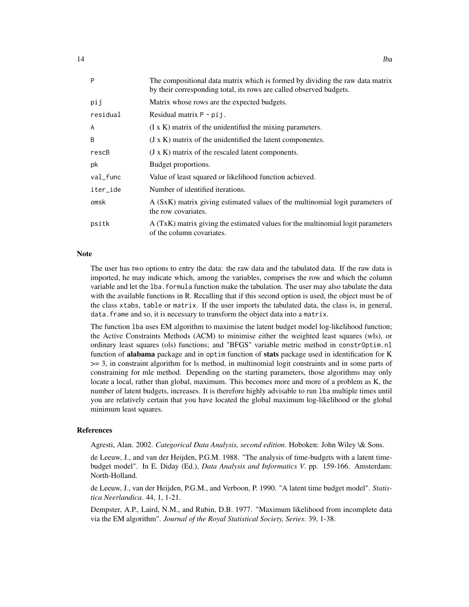| P        | The compositional data matrix which is formed by dividing the raw data matrix<br>by their corresponding total, its rows are called observed budgets. |
|----------|------------------------------------------------------------------------------------------------------------------------------------------------------|
| pij      | Matrix whose rows are the expected budgets.                                                                                                          |
| residual | Residual matrix $P - \pi j$ .                                                                                                                        |
| A        | $(I \times K)$ matrix of the unidentified the mixing parameters.                                                                                     |
| B        | $(J \times K)$ matrix of the unidentified the latent componentes.                                                                                    |
| rescB    | $(J \times K)$ matrix of the rescaled latent components.                                                                                             |
| pk       | Budget proportions.                                                                                                                                  |
| val_func | Value of least squared or likelihood function achieved.                                                                                              |
| iter_ide | Number of identified iterations.                                                                                                                     |
| omsk     | A (SxK) matrix giving estimated values of the multinomial logit parameters of<br>the row covariates.                                                 |
| psitk    | A (TxK) matrix giving the estimated values for the multinomial logit parameters<br>of the column covariates.                                         |

#### Note

The user has two options to entry the data: the raw data and the tabulated data. If the raw data is imported, he may indicate which, among the variables, comprises the row and which the column variable and let the lba.formula function make the tabulation. The user may also tabulate the data with the available functions in R. Recalling that if this second option is used, the object must be of the class xtabs, table or matrix. If the user imports the tabulated data, the class is, in general, data.frame and so, it is necessary to transform the object data into a matrix.

The function lba uses EM algorithm to maximise the latent budget model log-likelihood function; the Active Constraints Methods (ACM) to minimise either the weighted least squares (wls), or ordinary least squares (ols) functions; and "BFGS" variable metric method in constrOptim.nl function of alabama package and in optim function of stats package used in identification for K >= 3, in constraint algorithm for ls method, in multinomial logit constraints and in some parts of constraining for mle method. Depending on the starting parameters, those algorithms may only locate a local, rather than global, maximum. This becomes more and more of a problem as K, the number of latent budgets, increases. It is therefore highly advisable to run lba multiple times until you are relatively certain that you have located the global maximum log-likelihood or the global minimum least squares.

#### References

Agresti, Alan. 2002. *Categorical Data Analysis, second edition*. Hoboken: John Wiley \& Sons.

de Leeuw, J., and van der Heijden, P.G.M. 1988. "The analysis of time-budgets with a latent timebudget model". In E. Diday (Ed.), *Data Analysis and Informatics V*. pp. 159-166. Amsterdam: North-Holland.

de Leeuw, J., van der Heijden, P.G.M., and Verboon, P. 1990. "A latent time budget model". *Statistica Neerlandica*. 44, 1, 1-21.

Dempster, A.P., Laird, N.M., and Rubin, D.B. 1977. "Maximum likelihood from incomplete data via the EM algorithm". *Journal of the Royal Statistical Society, Series*. 39, 1-38.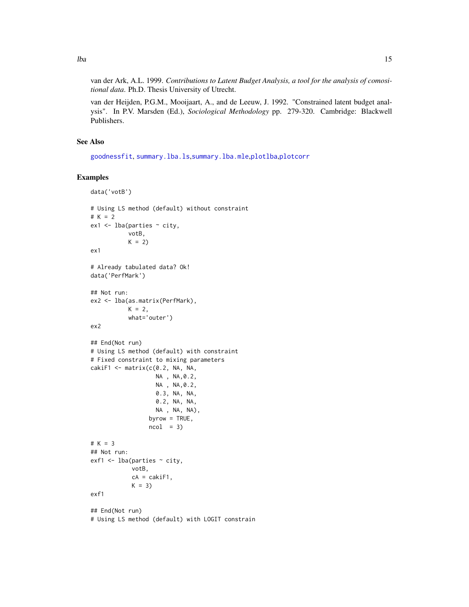van der Ark, A.L. 1999. *Contributions to Latent Budget Analysis, a tool for the analysis of comositional data*. Ph.D. Thesis University of Utrecht.

van der Heijden, P.G.M., Mooijaart, A., and de Leeuw, J. 1992. "Constrained latent budget analysis". In P.V. Marsden (Ed.), *Sociological Methodology* pp. 279-320. Cambridge: Blackwell Publishers.

# See Also

[goodnessfit](#page-1-1), [summary.lba.ls](#page-32-1),[summary.lba.mle](#page-32-1),[plotlba](#page-23-1),[plotcorr](#page-18-1)

# Examples

```
data('votB')
# Using LS method (default) without constraint
# K = 2ex1 <- lba(parties ~ city,
            votB,
           K = 2ex1
# Already tabulated data? Ok!
data('PerfMark')
## Not run:
ex2 <- lba(as.matrix(PerfMark),
           K = 2,
            what='outer')
ex2
## End(Not run)
# Using LS method (default) with constraint
# Fixed constraint to mixing parameters
cakiF1 <- matrix(c(0.2, NA, NA,
                    NA , NA,0.2,
                    NA , NA,0.2,
                    0.3, NA, NA,
                    0.2, NA, NA,
                    NA , NA, NA),
                  byrow = TRUE,
                  ncol = 3)# K = 3## Not run:
ext{exf1} \leftarrow \text{lba}(\text{particles} \sim \text{city}, \text{y})votB,
             cA = cakiF1,K = 3exf1
## End(Not run)
# Using LS method (default) with LOGIT constrain
```
<span id="page-14-0"></span>lba contra de la contra de la contra de la contra de la contra de la contra de la contra de la contra de la co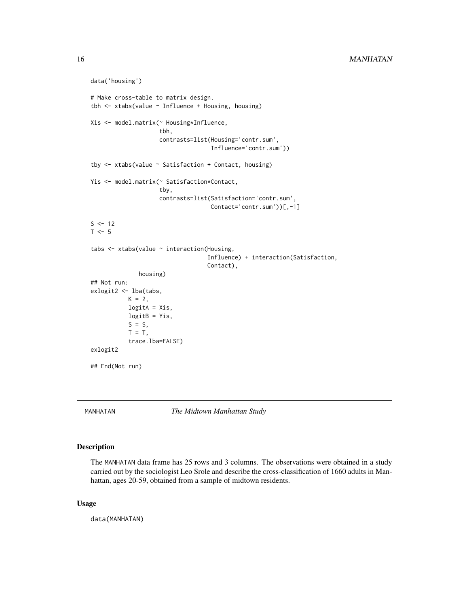```
data('housing')
# Make cross-table to matrix design.
tbh \le xtabs(value \sim Influence + Housing, housing)
Xis <- model.matrix(~ Housing*Influence,
                    tbh,
                    contrasts=list(Housing='contr.sum',
                                    Influence='contr.sum'))
tby <- xtabs(value ~ Satisfaction + Contact, housing)
Yis <- model.matrix(~ Satisfaction*Contact,
                    tby,
                    contrasts=list(Satisfaction='contr.sum',
                                    Contact='contr.sum'))[,-1]
S < - 12T < -5tabs <- xtabs(value ~ interaction(Housing,
                                   Influence) + interaction(Satisfaction,
                                   Contact),
              housing)
## Not run:
exlogit2 <- lba(tabs,
           K = 2,
           logitA = Xis,logitB = Yis,S = S,
           T = T,
           trace.lba=FALSE)
exlogit2
## End(Not run)
```
MANHATAN *The Midtown Manhattan Study*

# Description

The MANHATAN data frame has 25 rows and 3 columns. The observations were obtained in a study carried out by the sociologist Leo Srole and describe the cross-classification of 1660 adults in Manhattan, ages 20-59, obtained from a sample of midtown residents.

#### Usage

data(MANHATAN)

<span id="page-15-0"></span>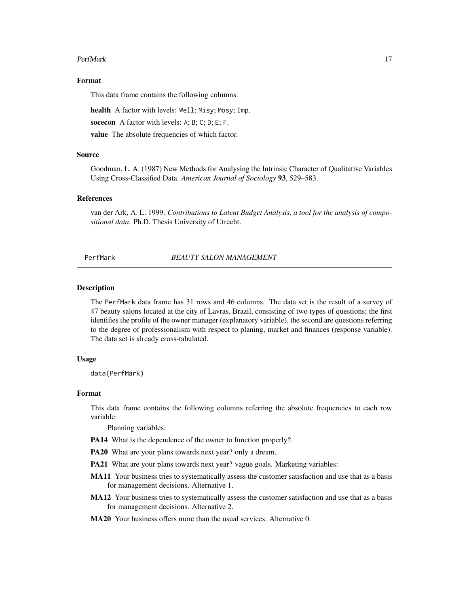#### <span id="page-16-0"></span>PerfMark 17

# Format

This data frame contains the following columns:

health A factor with levels: Well; Misy; Mosy; Imp.

socecon A factor with levels: A; B; C; D; E; F.

value The absolute frequencies of which factor.

# Source

Goodman, L. A. (1987) New Methods for Analysing the Intrinsic Character of Qualitative Variables Using Cross-Classified Data. *American Journal of Sociology* 93, 529–583.

#### References

van der Ark, A. L. 1999. *Contributions to Latent Budget Analysis, a tool for the analysis of compositional data*. Ph.D. Thesis University of Utrecht.

# PerfMark *BEAUTY SALON MANAGEMENT*

#### **Description**

The PerfMark data frame has 31 rows and 46 columns. The data set is the result of a survey of 47 beauty salons located at the city of Lavras, Brazil, consisting of two types of questions; the first identifies the profile of the owner manager (explanatory variable), the second are questions referring to the degree of professionalism with respect to planing, market and finances (response variable). The data set is already cross-tabulated.

#### Usage

data(PerfMark)

# Format

This data frame contains the following columns referring the absolute frequencies to each row variable:

Planning variables:

PA14 What is the dependence of the owner to function properly?.

PA20 What are your plans towards next year? only a dream.

- PA21 What are your plans towards next year? vague goals. Marketing variables:
- MA11 Your business tries to systematically assess the customer satisfaction and use that as a basis for management decisions. Alternative 1.
- MA12 Your business tries to systematically assess the customer satisfaction and use that as a basis for management decisions. Alternative 2.
- MA20 Your business offers more than the usual services. Alternative 0.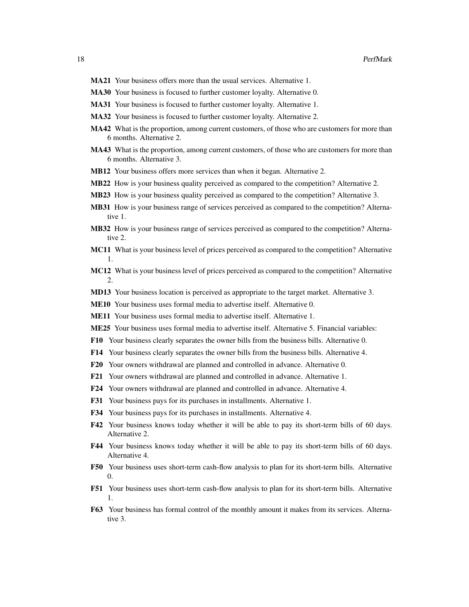- MA21 Your business offers more than the usual services. Alternative 1.
- MA30 Your business is focused to further customer loyalty. Alternative 0.
- MA31 Your business is focused to further customer loyalty. Alternative 1.
- MA32 Your business is focused to further customer loyalty. Alternative 2.
- MA42 What is the proportion, among current customers, of those who are customers for more than 6 months. Alternative 2.
- MA43 What is the proportion, among current customers, of those who are customers for more than 6 months. Alternative 3.
- **MB12** Your business offers more services than when it began. Alternative 2.
- MB22 How is your business quality perceived as compared to the competition? Alternative 2.
- MB23 How is your business quality perceived as compared to the competition? Alternative 3.
- MB31 How is your business range of services perceived as compared to the competition? Alternative 1.
- **MB32** How is your business range of services perceived as compared to the competition? Alternative 2.
- MC11 What is your business level of prices perceived as compared to the competition? Alternative 1.
- MC12 What is your business level of prices perceived as compared to the competition? Alternative 2.
- MD13 Your business location is perceived as appropriate to the target market. Alternative 3.
- ME10 Your business uses formal media to advertise itself. Alternative 0.
- ME11 Your business uses formal media to advertise itself. Alternative 1.
- ME25 Your business uses formal media to advertise itself. Alternative 5. Financial variables:
- F10 Your business clearly separates the owner bills from the business bills. Alternative 0.
- F14 Your business clearly separates the owner bills from the business bills. Alternative 4.
- F20 Your owners withdrawal are planned and controlled in advance. Alternative 0.
- F21 Your owners withdrawal are planned and controlled in advance. Alternative 1.
- F24 Your owners withdrawal are planned and controlled in advance. Alternative 4.
- F31 Your business pays for its purchases in installments. Alternative 1.
- F34 Your business pays for its purchases in installments. Alternative 4.
- F42 Your business knows today whether it will be able to pay its short-term bills of 60 days. Alternative 2.
- F44 Your business knows today whether it will be able to pay its short-term bills of 60 days. Alternative 4.
- F50 Your business uses short-term cash-flow analysis to plan for its short-term bills. Alternative 0.
- F51 Your business uses short-term cash-flow analysis to plan for its short-term bills. Alternative 1.
- F63 Your business has formal control of the monthly amount it makes from its services. Alternative 3.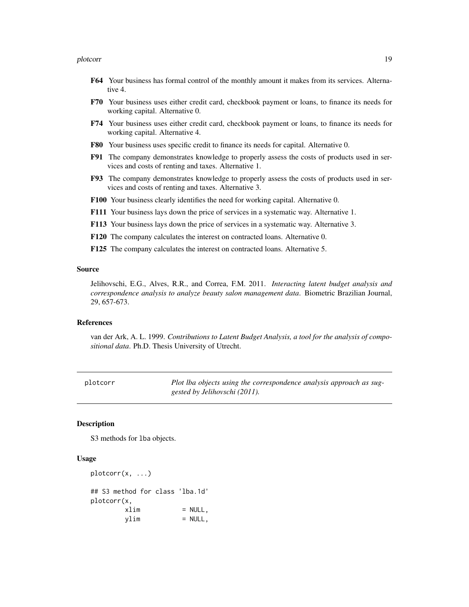#### <span id="page-18-0"></span>plotcorr that the contract of the contract of the contract of the contract of the contract of the contract of the contract of the contract of the contract of the contract of the contract of the contract of the contract of

- F64 Your business has formal control of the monthly amount it makes from its services. Alternative 4.
- F70 Your business uses either credit card, checkbook payment or loans, to finance its needs for working capital. Alternative 0.
- F74 Your business uses either credit card, checkbook payment or loans, to finance its needs for working capital. Alternative 4.
- F80 Your business uses specific credit to finance its needs for capital. Alternative 0.
- F91 The company demonstrates knowledge to properly assess the costs of products used in services and costs of renting and taxes. Alternative 1.
- F93 The company demonstrates knowledge to properly assess the costs of products used in services and costs of renting and taxes. Alternative 3.
- F100 Your business clearly identifies the need for working capital. Alternative 0.
- F111 Your business lays down the price of services in a systematic way. Alternative 1.
- F113 Your business lays down the price of services in a systematic way. Alternative 3.
- F120 The company calculates the interest on contracted loans. Alternative 0.
- F125 The company calculates the interest on contracted loans. Alternative 5.

#### Source

Jelihovschi, E.G., Alves, R.R., and Correa, F.M. 2011. *Interacting latent budget analysis and correspondence analysis to analyze beauty salon management data*. Biometric Brazilian Journal, 29, 657-673.

# References

van der Ark, A. L. 1999. *Contributions to Latent Budget Analysis, a tool for the analysis of compositional data*. Ph.D. Thesis University of Utrecht.

<span id="page-18-1"></span>

| plotcorr | Plot lba objects using the correspondence analysis approach as sug- |
|----------|---------------------------------------------------------------------|
|          | gested by Jelihovschi (2011).                                       |

# Description

S3 methods for lba objects.

# Usage

```
plotcorr(x, ...)
## S3 method for class 'lba.1d'
plotcorr(x,
       xlim = NULL,
       ylim = NULL,
```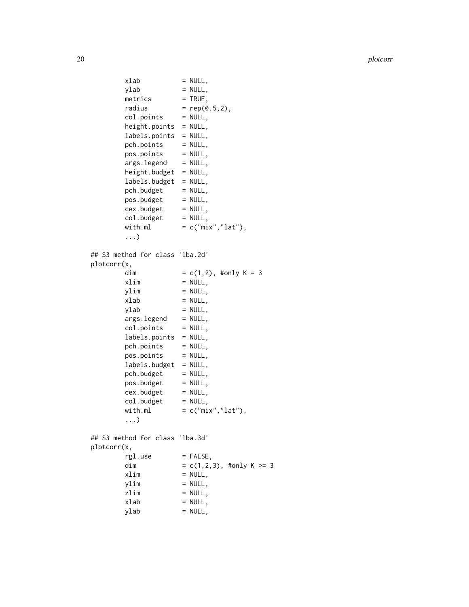```
xlab = NULL,<br>ylab = NULL,
                   = NULL,
       metrics = TRUE,
       radius = rep(0.5, 2),
       col.points = NULL,height.points = NULL,
       labels.points = NULL,
       pch.points = NULL,
       pos.points = NULL,
       args.length = NULL,height.budget = NULL,
       labels.budget = NULL,pch.budget = NULL,pos.budget = NULL,cex.budget = NULL,col.budget = NULL,
       with.ml = c("mix", "lat"),...)
## S3 method for class 'lba.2d'
plotcorr(x,
       dim = c(1,2), #only K = 3
       xlim = NULL,
       ylim = NULL,
       xlab = NULL,
       ylab = NULL,
       args.length = NULL,col.points = NULL,
       labels.points = NULL,
       pch.points = NULL,
       pos.points = NULL,labels.budget = NULL,pch.budget = NULL,pos.budget = NULL,cex.budget = NULL,col.budget = NULL,
       with.ml = c("mix", "lat"),...)
## S3 method for class 'lba.3d'
plotcorr(x,
       rgl.use = FALSE,dim = c(1,2,3), #only K >= 3
       xlim = NULL,
       ylim = NULL,
       zlim = NULL,
       xlab = NULL,
       ylab = NULL,
```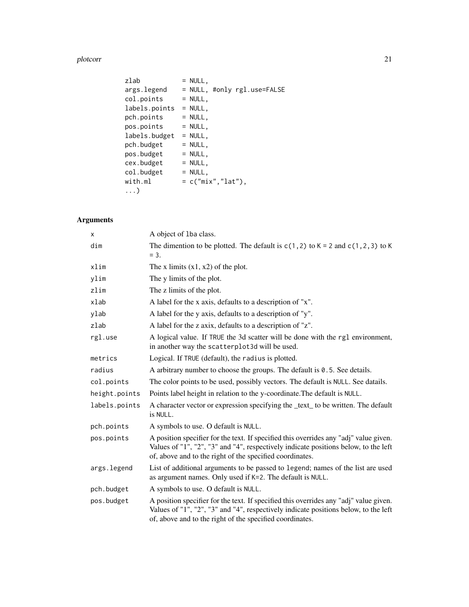plotcorr and the set of the set of the set of the set of the set of the set of the set of the set of the set of the set of the set of the set of the set of the set of the set of the set of the set of the set of the set of

| zlab          | $= NULL,$                   |
|---------------|-----------------------------|
| args.legend   | = NULL, #only rgl.use=FALSE |
| col.points    | $= NULL,$                   |
| labels.points | $= NULL,$                   |
| pch.points    | $=$ NULL,                   |
| pos.points    | $=$ NULL,                   |
| labels.budget | $=$ NULL,                   |
| pch.budget    | $= NULL,$                   |
| pos.budget    | $=$ NULL,                   |
| cex.budget    | $=$ NULL,                   |
| col.budget    | $= NULL,$                   |
| with.ml       | $= c("mix", "lat"),$        |
| $\ldots$      |                             |

# Arguments

| X             | A object of 1ba class.                                                                                                                                                                                                                   |
|---------------|------------------------------------------------------------------------------------------------------------------------------------------------------------------------------------------------------------------------------------------|
| dim           | The dimention to be plotted. The default is $c(1,2)$ to $K = 2$ and $c(1,2,3)$ to K<br>$= 3.$                                                                                                                                            |
| xlim          | The x limits $(x1, x2)$ of the plot.                                                                                                                                                                                                     |
| ylim          | The y limits of the plot.                                                                                                                                                                                                                |
| zlim          | The z limits of the plot.                                                                                                                                                                                                                |
| xlab          | A label for the x axis, defaults to a description of "x".                                                                                                                                                                                |
| ylab          | A label for the y axis, defaults to a description of "y".                                                                                                                                                                                |
| zlab          | A label for the z axix, defaults to a description of "z".                                                                                                                                                                                |
| rgl.use       | A logical value. If TRUE the 3d scatter will be done with the rg1 environment,<br>in another way the scatterplot3d will be used.                                                                                                         |
| metrics       | Logical. If TRUE (default), the radius is plotted.                                                                                                                                                                                       |
| radius        | A arbitrary number to choose the groups. The default is 0.5. See details.                                                                                                                                                                |
| col.points    | The color points to be used, possibly vectors. The default is NULL. See datails.                                                                                                                                                         |
| height.points | Points label height in relation to the y-coordinate. The default is NULL.                                                                                                                                                                |
| labels.points | A character vector or expression specifying the <u>text</u> to be written. The default<br>is NULL.                                                                                                                                       |
| pch.points    | A symbols to use. O default is NULL.                                                                                                                                                                                                     |
| pos.points    | A position specifier for the text. If specified this overrides any "adj" value given.<br>Values of "1", "2", "3" and "4", respectively indicate positions below, to the left<br>of, above and to the right of the specified coordinates. |
| args.legend   | List of additional arguments to be passed to legend; names of the list are used<br>as argument names. Only used if K=2. The default is NULL.                                                                                             |
| pch.budget    | A symbols to use. O default is NULL.                                                                                                                                                                                                     |
| pos.budget    | A position specifier for the text. If specified this overrides any "adj" value given.<br>Values of "1", "2", "3" and "4", respectively indicate positions below, to the left<br>of, above and to the right of the specified coordinates. |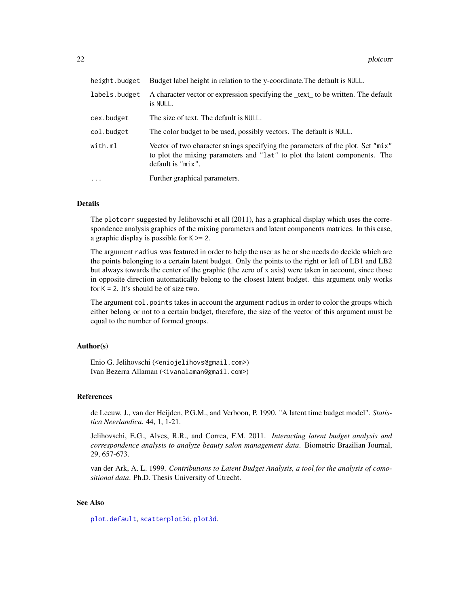<span id="page-21-0"></span>

| height.budget | Budget label height in relation to the y-coordinate. The default is NULL.                                                                                                           |
|---------------|-------------------------------------------------------------------------------------------------------------------------------------------------------------------------------------|
| labels.budget | A character vector or expression specifying the <u>text</u> to be written. The default<br>is NULL.                                                                                  |
| cex.budget    | The size of text. The default is NULL.                                                                                                                                              |
| col.budget    | The color budget to be used, possibly vectors. The default is NULL.                                                                                                                 |
| with.ml       | Vector of two character strings specifying the parameters of the plot. Set "mix"<br>to plot the mixing parameters and "lat" to plot the latent components. The<br>default is "mix". |
| $\ddots$      | Further graphical parameters.                                                                                                                                                       |

# Details

The plotcorr suggested by Jelihovschi et all (2011), has a graphical display which uses the correspondence analysis graphics of the mixing parameters and latent components matrices. In this case, a graphic display is possible for  $K \geq 2$ .

The argument radius was featured in order to help the user as he or she needs do decide which are the points belonging to a certain latent budget. Only the points to the right or left of LB1 and LB2 but always towards the center of the graphic (the zero of x axis) were taken in account, since those in opposite direction automatically belong to the closest latent budget. this argument only works for  $K = 2$ . It's should be of size two.

The argument col.points takes in account the argument radius in order to color the groups which either belong or not to a certain budget, therefore, the size of the vector of this argument must be equal to the number of formed groups.

# Author(s)

Enio G. Jelihovschi (<eniojelihovs@gmail.com>) Ivan Bezerra Allaman (<ivanalaman@gmail.com>)

# References

de Leeuw, J., van der Heijden, P.G.M., and Verboon, P. 1990. "A latent time budget model". *Statistica Neerlandica*. 44, 1, 1-21.

Jelihovschi, E.G., Alves, R.R., and Correa, F.M. 2011. *Interacting latent budget analysis and correspondence analysis to analyze beauty salon management data*. Biometric Brazilian Journal, 29, 657-673.

van der Ark, A. L. 1999. *Contributions to Latent Budget Analysis, a tool for the analysis of comositional data*. Ph.D. Thesis University of Utrecht.

# See Also

[plot.default](#page-0-0), [scatterplot3d](#page-0-0), [plot3d](#page-0-0).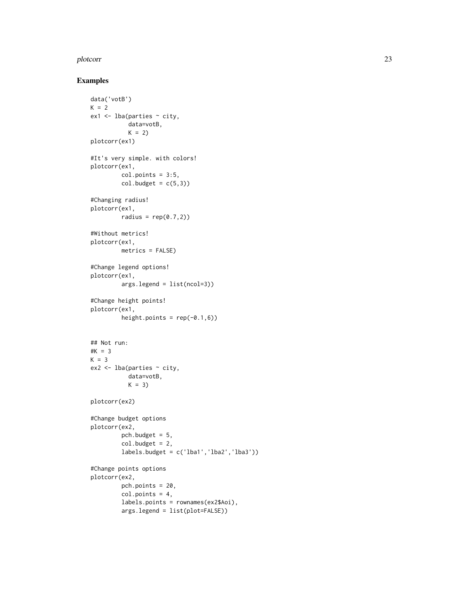#### plotcorr and 23 and 23 and 23 and 23 and 23 and 23 and 23 and 23 and 23 and 23 and 23 and 23 and 23 and 23 and 23 and 23 and 23 and 24 and 25 and 26 and 26 and 26 and 26 and 26 and 26 and 26 and 26 and 26 and 26 and 26 and

# Examples

```
data('votB')
K = 2ex1 <- lba(parties ~ city,
           data=votB,
           K = 2plotcorr(ex1)
#It's very simple. with colors!
plotcorr(ex1,
         col.points = 3:5,col.budget = c(5,3))
#Changing radius!
plotcorr(ex1,
         radius = rep(0.7, 2)#Without metrics!
plotcorr(ex1,
        metrics = FALSE)
#Change legend options!
plotcorr(ex1,
        args.legend = list(ncol=3))
#Change height points!
plotcorr(ex1,
         height.points = rep(-0.1, 6))
## Not run:
#K = 3
K = 3ex2 < - lba(parties ~ ~city,
           data=votB,
           K = 3plotcorr(ex2)
#Change budget options
plotcorr(ex2,
         pch.budget = 5,
         col.budget = 2,
         labels.budget = c('lba1', 'lba2', 'lba3'))#Change points options
plotcorr(ex2,
         pch.points = 20,
         col.points = 4,
         labels.points = rownames(ex2$Aoi),
         args.legend = list(plot=FALSE))
```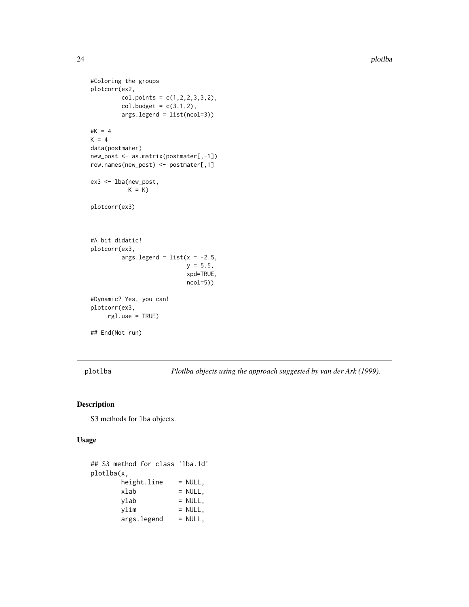```
#Coloring the groups
plotcorr(ex2,
         col.points = c(1, 2, 2, 3, 3, 2),col.budget = c(3,1,2),
         args.legend = list(ncol=3))
#K = 4K = 4data(postmater)
new_post <- as.matrix(postmater[,-1])
row.names(new_post) <- postmater[,1]
ex3 <- lba(new_post,
           K = Kplotcorr(ex3)
#A bit didatic!
plotcorr(ex3,
         args.legend = list(x = -2.5,y = 5.5,
                            xpd=TRUE,
                            ncol=5))
#Dynamic? Yes, you can!
plotcorr(ex3,
    rgl.use = TRUE)
## End(Not run)
```
<span id="page-23-1"></span>plotlba *Plotlba objects using the approach suggested by van der Ark (1999).*

# Description

S3 methods for lba objects.

# Usage

```
## S3 method for class 'lba.1d'
plotlba(x,
      height.line = NULL,
      xlab = NULL,
      ylab = NULL,
      ylim = NULL,
      args.legend = NULL,
```
<span id="page-23-0"></span>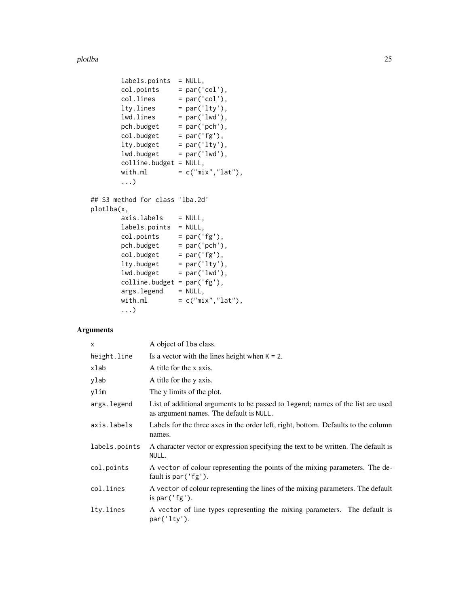plotlba 25

```
labels.points = NULL,
       col.points = par('col'),col.\n    lines = par('col'),lty.lines = par('lty'),lwd.lines = par('lwd'),pch.budget = par('pch'),col.budget = par('fg'),
       lty.budget = par('lty'),lwd.budget = par('lwd'),colline.budget = NULL,
       with.ml = c("mix", "lat"),...)
## S3 method for class 'lba.2d'
plotlba(x,
       axis. labels = NULL,
       labels.points = NULL,
       col.points = par('fg'),pch.budget = par('pch'),col.budget = par('fg'),
       lty.budget = par('lty'),lwd.budget = par('lwd'),colline.budget = par('fg'),
       args.legend = NULL,
       with.ml = c("mix", "lat"),...)
```
# Arguments

| $\times$      | A object of 1ba class.                                                                                                     |
|---------------|----------------------------------------------------------------------------------------------------------------------------|
| height.line   | Is a vector with the lines height when $K = 2$ .                                                                           |
| xlab          | A title for the x axis.                                                                                                    |
| ylab          | A title for the y axis.                                                                                                    |
| ylim          | The y limits of the plot.                                                                                                  |
| args.legend   | List of additional arguments to be passed to legend; names of the list are used<br>as argument names. The default is NULL. |
| axis.labels   | Labels for the three axes in the order left, right, bottom. Defaults to the column<br>names.                               |
| labels.points | A character vector or expression specifying the text to be written. The default is<br>NULL.                                |
| col.points    | A vector of colour representing the points of the mixing parameters. The de-<br>fault is $par('fg').$                      |
| col.lines     | A vector of colour representing the lines of the mixing parameters. The default<br>is par $('fg').$                        |
| lty.lines     | A vector of line types representing the mixing parameters. The default is<br>par('lty').                                   |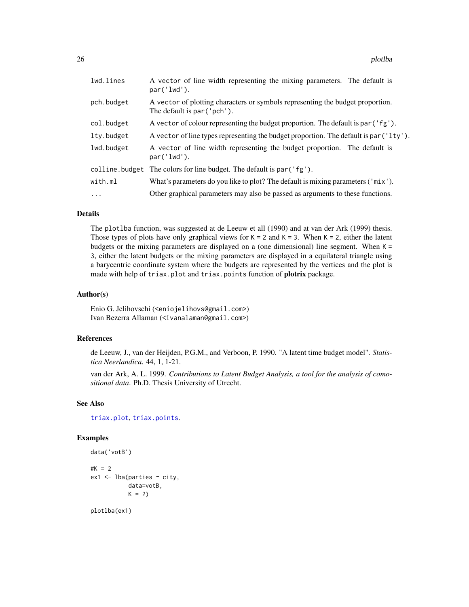<span id="page-25-0"></span>

| lwd.lines      | A vector of line width representing the mixing parameters. The default is<br>par('lwd').                      |
|----------------|---------------------------------------------------------------------------------------------------------------|
| pch.budget     | A vector of plotting characters or symbols representing the budget proportion.<br>The default is par ('pch'). |
| col.budget     | A vector of colour representing the budget proportion. The default is par ('fg').                             |
| lty.budget     | A vector of line types representing the budget proportion. The default is par ('lty').                        |
| lwd.budget     | A vector of line width representing the budget proportion. The default is<br>par('lwd').                      |
| colline.budget | The colors for line budget. The default is par ('fg').                                                        |
| with.ml        | What's parameters do you like to plot? The default is mixing parameters ('mix').                              |
| $\ddots$       | Other graphical parameters may also be passed as arguments to these functions.                                |

# Details

The plotlba function, was suggested at de Leeuw et all (1990) and at van der Ark (1999) thesis. Those types of plots have only graphical views for  $K = 2$  and  $K = 3$ . When  $K = 2$ , either the latent budgets or the mixing parameters are displayed on a (one dimensional) line segment. When  $K =$ 3, either the latent budgets or the mixing parameters are displayed in a equilateral triangle using a barycentric coordinate system where the budgets are represented by the vertices and the plot is made with help of triax.plot and triax.points function of plotrix package.

# Author(s)

Enio G. Jelihovschi (<eniojelihovs@gmail.com>) Ivan Bezerra Allaman (<ivanalaman@gmail.com>)

# References

de Leeuw, J., van der Heijden, P.G.M., and Verboon, P. 1990. "A latent time budget model". *Statistica Neerlandica*. 44, 1, 1-21.

van der Ark, A. L. 1999. *Contributions to Latent Budget Analysis, a tool for the analysis of comositional data*. Ph.D. Thesis University of Utrecht.

# See Also

[triax.plot](#page-0-0), [triax.points](#page-0-0).

# Examples

```
data('votB')
#K = 2ex1 < - lba(parties \sim city,
           data=votB,
           K = 2
```
plotlba(ex1)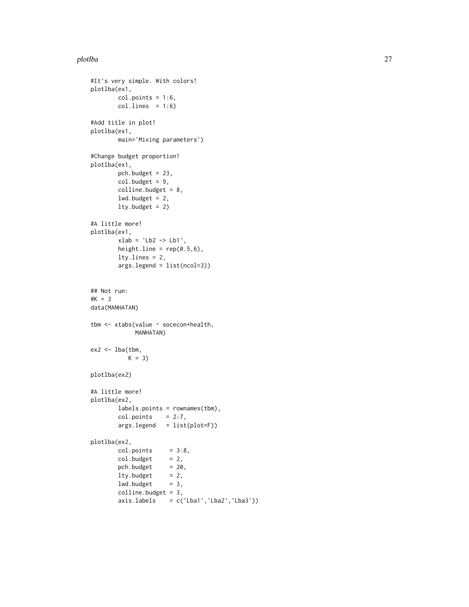#### plotlba 27

```
#It's very simple. With colors!
plotlba(ex1,
        col.points = 1:6,col.lines = 1:6)#Add title in plot!
plotlba(ex1,
        main='Mixing parameters')
#Change budget proportion!
plotlba(ex1,
        pch.budget = 23,
        col.budget = 9,
        colline.budget = 8,
        lwd.budget = 2,
        lty.budget = 2)
#A little more!
plotlba(ex1,
        xlab = 'Lb2 \rightarrow Lb1',height.line = rep(0.5, 6),
        lty.lines = 2,
        args.legend = list(ncol=3))
## Not run:
#K = 3data(MANHATAN)
tbm <- xtabs(value ~ socecon+health,
            MANHATAN)
ex2 < - lba(tbm,
          K = 3)plotlba(ex2)
#A little more!
plotlba(ex2,
        labels.points = rownames(tbm),
        col.points = 2:7,args.legend = list(plot=F))
plotlba(ex2,
        col.points = 3:8,
        col.budget = 2,pch.budget = 20,
        lty.budget = 2,<br>lwd.budget = 3,
        lwd.budget
        colline.budget = 3,
        axis.labels = c('Lba1', 'Lba2', 'Lba3'))
```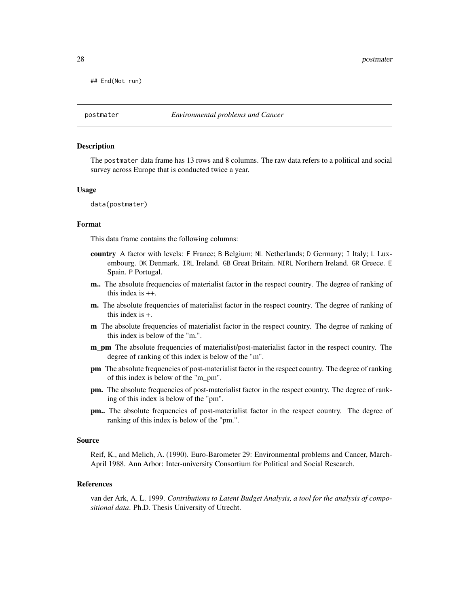<span id="page-27-0"></span>## End(Not run)

# Description

The postmater data frame has 13 rows and 8 columns. The raw data refers to a political and social survey across Europe that is conducted twice a year.

#### Usage

data(postmater)

#### Format

This data frame contains the following columns:

- country A factor with levels: F France; B Belgium; NL Netherlands; D Germany; I Italy; L Luxembourg. DK Denmark. IRL Ireland. GB Great Britain. NIRL Northern Ireland. GR Greece. E Spain. P Portugal.
- m.. The absolute frequencies of materialist factor in the respect country. The degree of ranking of this index is ++.
- m. The absolute frequencies of materialist factor in the respect country. The degree of ranking of this index is +.
- m The absolute frequencies of materialist factor in the respect country. The degree of ranking of this index is below of the "m.".
- m pm The absolute frequencies of materialist/post-materialist factor in the respect country. The degree of ranking of this index is below of the "m".
- pm The absolute frequencies of post-materialist factor in the respect country. The degree of ranking of this index is below of the "m\_pm".
- pm. The absolute frequencies of post-materialist factor in the respect country. The degree of ranking of this index is below of the "pm".
- pm.. The absolute frequencies of post-materialist factor in the respect country. The degree of ranking of this index is below of the "pm.".

#### Source

Reif, K., and Melich, A. (1990). Euro-Barometer 29: Environmental problems and Cancer, March-April 1988. Ann Arbor: Inter-university Consortium for Political and Social Research.

#### References

van der Ark, A. L. 1999. *Contributions to Latent Budget Analysis, a tool for the analysis of compositional data*. Ph.D. Thesis University of Utrecht.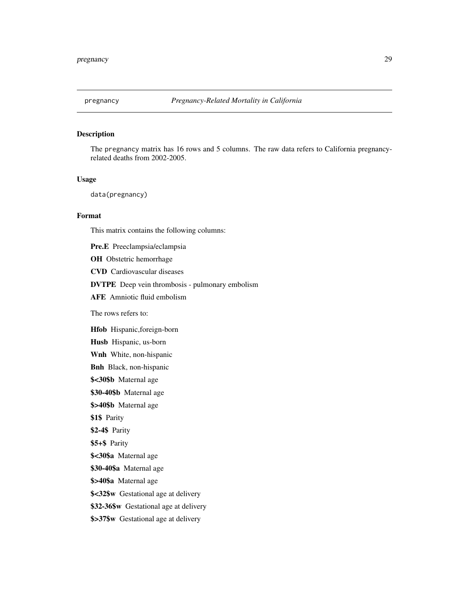<span id="page-28-0"></span>

# Description

The pregnancy matrix has 16 rows and 5 columns. The raw data refers to California pregnancyrelated deaths from 2002-2005.

#### Usage

data(pregnancy)

# Format

This matrix contains the following columns:

Pre.E Preeclampsia/eclampsia

OH Obstetric hemorrhage

CVD Cardiovascular diseases

DVTPE Deep vein thrombosis - pulmonary embolism

AFE Amniotic fluid embolism

The rows refers to:

Hfob Hispanic,foreign-born

Husb Hispanic, us-born

Wnh White, non-hispanic

Bnh Black, non-hispanic

\$<30\$b Maternal age

\$30-40\$b Maternal age

\$>40\$b Maternal age

\$1\$ Parity

\$2-4\$ Parity

\$5+\$ Parity

\$<30\$a Maternal age

\$30-40\$a Maternal age

\$>40\$a Maternal age

\$<32\$w Gestational age at delivery

\$32-36\$w Gestational age at delivery

\$>37\$w Gestational age at delivery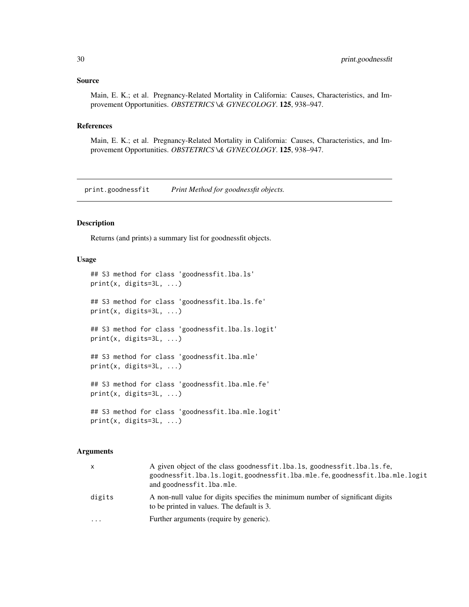#### <span id="page-29-0"></span>Source

Main, E. K.; et al. Pregnancy-Related Mortality in California: Causes, Characteristics, and Improvement Opportunities. *OBSTETRICS \& GYNECOLOGY*. 125, 938–947.

# References

Main, E. K.; et al. Pregnancy-Related Mortality in California: Causes, Characteristics, and Improvement Opportunities. *OBSTETRICS \& GYNECOLOGY*. 125, 938–947.

print.goodnessfit *Print Method for goodnessfit objects.*

# Description

Returns (and prints) a summary list for goodnessfit objects.

# Usage

```
## S3 method for class 'goodnessfit.lba.ls'
print(x, digits=3L, ...)
## S3 method for class 'goodnessfit.lba.ls.fe'
print(x, digits=3L, ...)
## S3 method for class 'goodnessfit.lba.ls.logit'
print(x, digits=3L, ...)
## S3 method for class 'goodnessfit.lba.mle'
print(x, digits=3L, ...)
## S3 method for class 'goodnessfit.lba.mle.fe'
print(x, digits=3L, ...)
## S3 method for class 'goodnessfit.lba.mle.logit'
print(x, digits=3L, ...)
```
# Arguments

| x      | A given object of the class goodnessfit. lba. ls. goodnessfit. lba. ls. fe.<br>goodnessfit.lba.ls.logit.goodnessfit.lba.mle.fe.goodnessfit.lba.mle.logit<br>and goodnessfit.lba.mle. |
|--------|--------------------------------------------------------------------------------------------------------------------------------------------------------------------------------------|
| digits | A non-null value for digits specifies the minimum number of significant digits<br>to be printed in values. The default is 3.                                                         |
| .      | Further arguments (require by generic).                                                                                                                                              |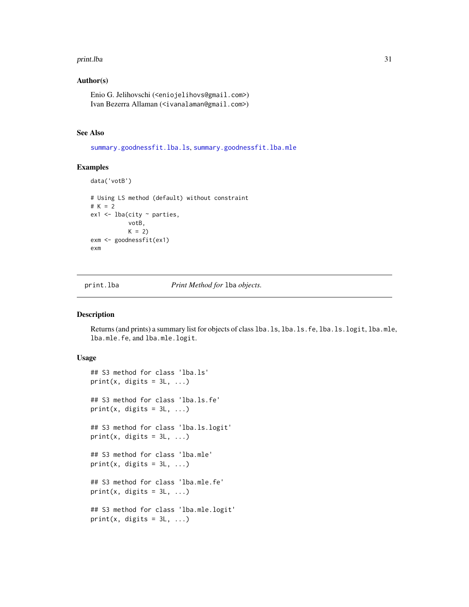#### <span id="page-30-0"></span>print.lba 31

# Author(s)

Enio G. Jelihovschi (<eniojelihovs@gmail.com>) Ivan Bezerra Allaman (<ivanalaman@gmail.com>)

# See Also

[summary.goodnessfit.lba.ls](#page-31-1), [summary.goodnessfit.lba.mle](#page-31-1)

# Examples

```
data('votB')
# Using LS method (default) without constraint
# K = 2
ex1 <- lba(city ~ parties,
           votB,
           K = 2exm <- goodnessfit(ex1)
exm
```
print.lba *Print Method for* lba *objects.*

# Description

Returns (and prints) a summary list for objects of class lba.ls, lba.ls.fe, lba.ls.logit, lba.mle, lba.mle.fe, and lba.mle.logit.

# Usage

```
## S3 method for class 'lba.ls'
print(x, \text{ digits} = 3L, \ldots)## S3 method for class 'lba.ls.fe'
print(x, \text{ digits} = 3L, \ldots)## S3 method for class 'lba.ls.logit'
print(x, \text{ digits} = 3L, \ldots)## S3 method for class 'lba.mle'
print(x, \text{ digits} = 3L, \ldots)## S3 method for class 'lba.mle.fe'
print(x, digits = 3L, ...)
## S3 method for class 'lba.mle.logit'
print(x, \text{ digits} = 3L, \ldots)
```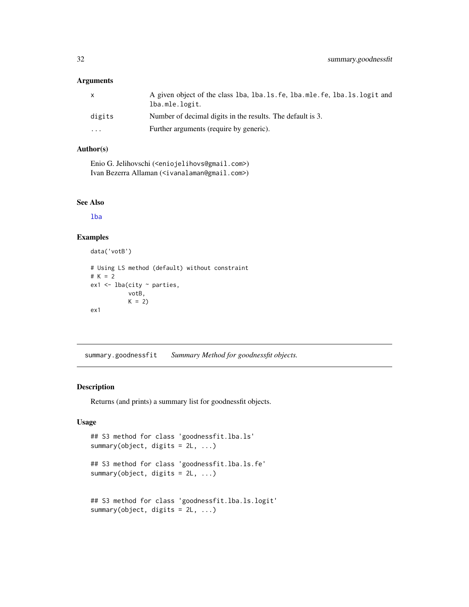# <span id="page-31-0"></span>Arguments

| X        | A given object of the class 1ba, 1ba.1s.fe, 1ba.mle.fe, 1ba.1s.logit and<br>lba.mle.logit. |
|----------|--------------------------------------------------------------------------------------------|
| digits   | Number of decimal digits in the results. The default is 3.                                 |
| $\cdots$ | Further arguments (require by generic).                                                    |

# Author(s)

Enio G. Jelihovschi (<eniojelihovs@gmail.com>) Ivan Bezerra Allaman (<ivanalaman@gmail.com>)

# See Also

[lba](#page-6-1)

# Examples

```
data('votB')
# Using LS method (default) without constraint
# K = 2
ex1 < - lba(city \sim parties,
           votB,
           K = 2ex1
```
summary.goodnessfit *Summary Method for goodnessfit objects.*

# <span id="page-31-1"></span>Description

Returns (and prints) a summary list for goodnessfit objects.

# Usage

```
## S3 method for class 'goodnessfit.lba.ls'
summary(object, digits = 2L, ...)
## S3 method for class 'goodnessfit.lba.ls.fe'
summary(object, digits = 2L, ...)
## S3 method for class 'goodnessfit.lba.ls.logit'
summary(object, digits = 2L, ...)
```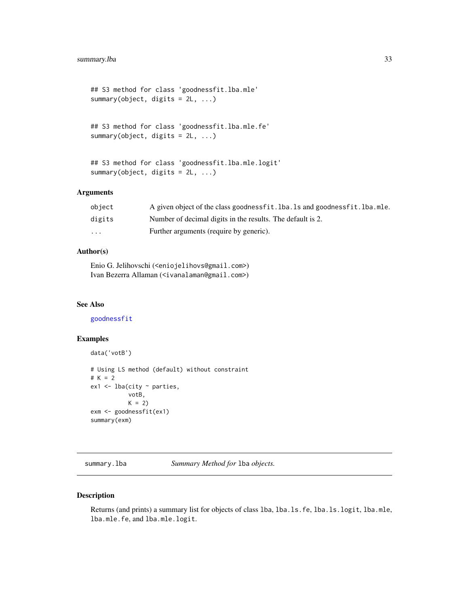```
## S3 method for class 'goodnessfit.lba.mle'
summary(object, digits = 2L, ...)
```

```
## S3 method for class 'goodnessfit.lba.mle.fe'
summary(object, digits = 2L, ...)
```

```
## S3 method for class 'goodnessfit.lba.mle.logit'
summary(object, digits = 2L, ...)
```
# Arguments

| obiect | A given object of the class goodness fit. 1ba. 1s and goodness fit. 1ba. mle. |
|--------|-------------------------------------------------------------------------------|
| digits | Number of decimal digits in the results. The default is 2.                    |
| .      | Further arguments (require by generic).                                       |

# Author(s)

Enio G. Jelihovschi (<eniojelihovs@gmail.com>) Ivan Bezerra Allaman (<ivanalaman@gmail.com>)

# See Also

[goodnessfit](#page-1-1)

# Examples

```
data('votB')
# Using LS method (default) without constraint
# K = 2ex1 \leftarrow lba(city \sim parties,
           votB,
           K = 2exm <- goodnessfit(ex1)
summary(exm)
```
summary.lba *Summary Method for* lba *objects.*

# <span id="page-32-1"></span>Description

Returns (and prints) a summary list for objects of class lba, lba.ls.fe, lba.ls.logit, lba.mle, lba.mle.fe, and lba.mle.logit.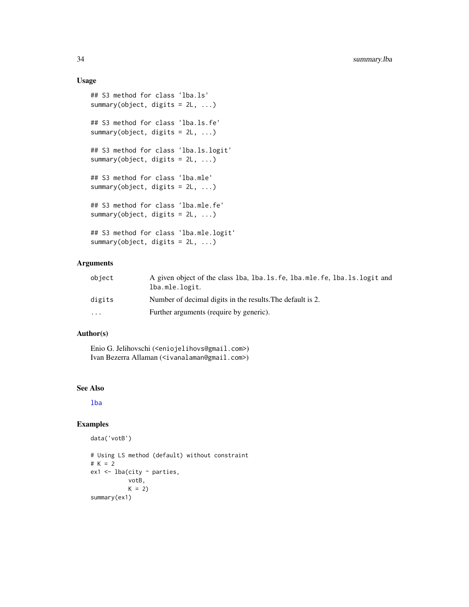# Usage

```
## S3 method for class 'lba.ls'
summary(object, digits = 2L, ...)
## S3 method for class 'lba.ls.fe'
summary(object, digits = 2L, ...)
## S3 method for class 'lba.ls.logit'
summary(object, digits = 2L, ...)
## S3 method for class 'lba.mle'
summary(object, digits = 2L, ...)
## S3 method for class 'lba.mle.fe'
summary(object, digits = 2L, ...)
## S3 method for class 'lba.mle.logit'
summary(object, digits = 2L, ...)
```
# Arguments

| object   | A given object of the class 1ba, 1ba, 1s, fe, 1ba, mle, fe, 1ba, 1s, 1ogit and<br>lba.mle.logit. |
|----------|--------------------------------------------------------------------------------------------------|
| digits   | Number of decimal digits in the results. The default is 2.                                       |
| $\cdots$ | Further arguments (require by generic).                                                          |

# Author(s)

Enio G. Jelihovschi (<eniojelihovs@gmail.com>) Ivan Bezerra Allaman (<ivanalaman@gmail.com>)

# See Also

[lba](#page-6-1)

#### Examples

```
data('votB')
```

```
# Using LS method (default) without constraint
# K = 2ex1 <- lba(city ~ parties,
          votB,
          K = 2)summary(ex1)
```
<span id="page-33-0"></span>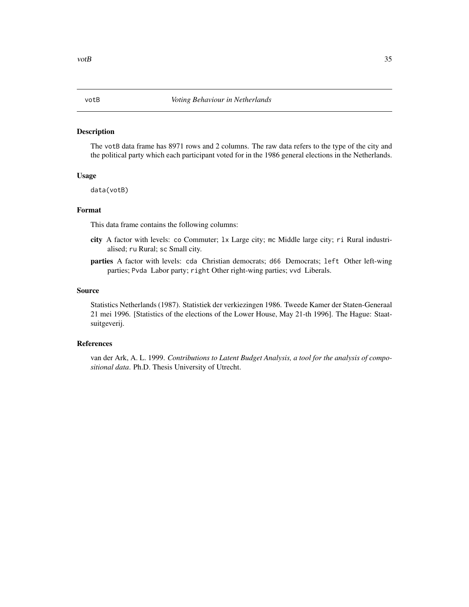#### <span id="page-34-0"></span>Description

The votB data frame has 8971 rows and 2 columns. The raw data refers to the type of the city and the political party which each participant voted for in the 1986 general elections in the Netherlands.

# Usage

data(votB)

# Format

This data frame contains the following columns:

- city A factor with levels: co Commuter; lx Large city; mc Middle large city; ri Rural industrialised; ru Rural; sc Small city.
- parties A factor with levels: cda Christian democrats; d66 Democrats; left Other left-wing parties; Pvda Labor party; right Other right-wing parties; vvd Liberals.

#### Source

Statistics Netherlands (1987). Statistiek der verkiezingen 1986. Tweede Kamer der Staten-Generaal 21 mei 1996. [Statistics of the elections of the Lower House, May 21-th 1996]. The Hague: Staatsuitgeverij.

# References

van der Ark, A. L. 1999. *Contributions to Latent Budget Analysis, a tool for the analysis of compositional data*. Ph.D. Thesis University of Utrecht.